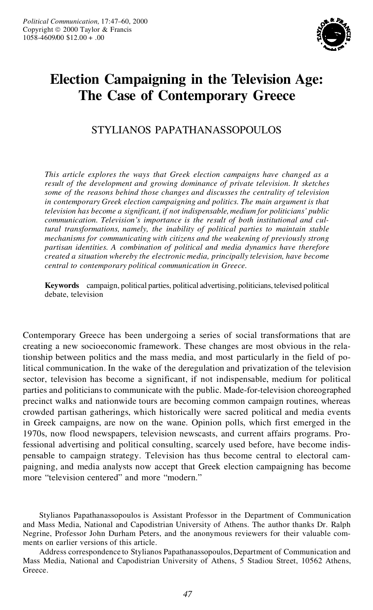

# **Election Campaigning in the Television Age: The Case of Contemporary Greece**

## STYLIANOS PAPATHANASSOPOULOS

*This article explores the ways that Greek election campaigns have changed as a result of the development and growing dominance of private television. It sketches some of the reasons behind those changes and discusses the centrality of television in contemporary Greek election campaigning and politics. The main argument is that television has become a significant, if not indispensable, medium for politicians' public communication. Television's importance is the result of both institutional and cultural transformations, namely, the inability of political parties to maintain stable mechanisms for communicating with citizens and the weakening of previously strong partisan identities. A combination of political and media dynamics have therefore created a situation whereby the electronic media, principally television, have become central to contemporary political communication in Greece.*

**Keywords** campaign, political parties, political advertising, politicians, televised political debate, television

Contemporary Greece has been undergoing a series of social transformations that are creating a new socioeconomic framework. These changes are most obvious in the relationship between politics and the mass media, and most particularly in the field of political communication. In the wake of the deregulation and privatization of the television sector, television has become a significant, if not indispensable, medium for political parties and politicians to communicate with the public. Made-for-television choreographed precinct walks and nationwide tours are becoming common campaign routines, whereas crowded partisan gatherings, which historically were sacred political and media events in Greek campaigns, are now on the wane. Opinion polls, which first emerged in the 1970s, now flood newspapers, television newscasts, and current affairs programs. Professional advertising and political consulting, scarcely used before, have become indispensable to campaign strategy. Television has thus become central to electoral campaigning, and media analysts now accept that Greek election campaigning has become more "television centered" and more "modern."

Stylianos Papathanassopoulos is Assistant Professor in the Department of Communication and Mass Media, National and Capodistrian University of Athens. The author thanks Dr. Ralph Negrine, Professor John Durham Peters, and the anonymous reviewers for their valuable com ments on earlier versions of this article.

Address correspondence to Stylianos Papathanassopoulos, Department of Communication and Mass Media, National and Capodistrian University of Athens, 5 Stadiou Street, 10562 Athens, Greece.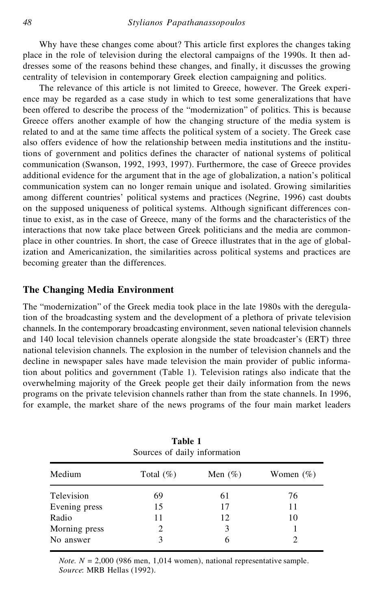Why have these changes come about? This article first explores the changes taking place in the role of television during the electoral campaigns of the 1990s. It then addresses some of the reasons behind these changes, and finally, it discusses the growing centrality of television in contemporary Greek election campaigning and politics.

The relevance of this article is not limited to Greece, however. The Greek experience may be regarded as a case study in which to test some generalizations that have been offered to describe the process of the "modernization" of politics. This is because Greece offers another example of how the changing structure of the media system is related to and at the same time affects the political system of a society. The Greek case also offers evidence of how the relationship between media institutions and the institutions of government and politics defines the character of national systems of political communication (Swanson, 1992, 1993, 1997). Furthermore, the case of Greece provides additional evidence for the argument that in the age of globalization, a nation's political communication system can no longer remain unique and isolated. Growing similarities among different countries' political systems and practices (Negrine, 1996) cast doubts on the supposed uniqueness of political systems. Although significant differences continue to exist, as in the case of Greece, many of the forms and the characteristics of the interactions that now take place between Greek politicians and the media are commonplace in other countries. In short, the case of Greece illustrates that in the age of globalization and Americanization, the similarities across political systems and practices are becoming greater than the differences.

### **The Changing Media Environment**

The "modernization" of the Greek media took place in the late 1980s with the deregulation of the broadcasting system and the development of a plethora of private television channels. In the contemporary broadcasting environment, seven national television channels and 140 local television channels operate alongside the state broadcaster's (ERT) three national television channels. The explosion in the number of television channels and the decline in newspaper sales have made television the main provider of public information about politics and government (Table 1). Television ratings also indicate that the overwhelming majority of the Greek people get their daily information from the news programs on the private television channels rather than from the state channels. In 1996, for example, the market share of the news programs of the four main market leaders

| Sources of daily information |              |            |              |  |  |
|------------------------------|--------------|------------|--------------|--|--|
| Medium                       | Total $(\%)$ | Men $(\%)$ | Women $(\%)$ |  |  |
| Television                   | 69           | 61         | 76           |  |  |
| Evening press                | 15           | 17         | 11           |  |  |
| Radio                        | 11           | 12         | 10           |  |  |
| Morning press                | 2            | 3          |              |  |  |
| No answer                    | 3            | 6          |              |  |  |

**Table 1** Sources of daily information

*Note.*  $N = 2,000$  (986 men, 1,014 women), national representative sample. *Source*: MRB Hellas (1992).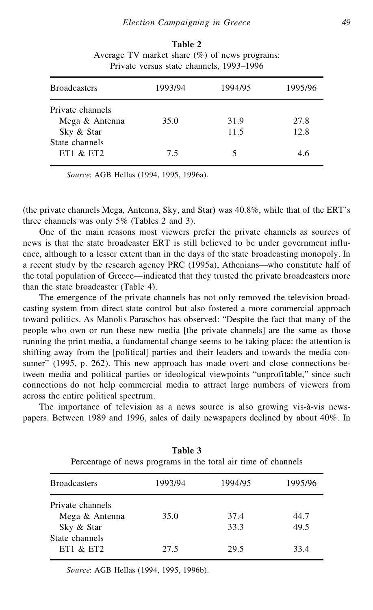| Private versus state channels, 1993–1996         |         |              |              |  |
|--------------------------------------------------|---------|--------------|--------------|--|
| <b>Broadcasters</b>                              | 1993/94 | 1994/95      | 1995/96      |  |
| Private channels<br>Mega & Antenna<br>Sky & Star | 35.0    | 31.9<br>11.5 | 27.8<br>12.8 |  |
| State channels<br>ET1 & FT2                      | 7.5     |              | 4.6          |  |

**Table 2** Average TV market share (%) of news programs: Private versus state channels, 1993–1996

*Source*: AGB Hellas (1994, 1995, 1996a).

(the private channels Mega, Antenna, Sky, and Star) was 40.8%, while that of the ERT's three channels was only 5% (Tables 2 and 3).

One of the main reasons most viewers prefer the private channels as sources of news is that the state broadcaster ERT is still believed to be under government influence, although to a lesser extent than in the days of the state broadcasting monopoly. In a recent study by the research agency PRC (1995a), Athenians—who constitute half of the total population of Greece—indicated that they trusted the private broadcasters more than the state broadcaster (Table 4).

The emergence of the private channels has not only removed the television broadcasting system from direct state control but also fostered a more commercial approach toward politics. As Manolis Paraschos has observed: "Despite the fact that many of the people who own or run these new media [the private channels] are the same as those running the print media, a fundamental change seems to be taking place: the attention is shifting away from the [political] parties and their leaders and towards the media consumer" (1995, p. 262). This new approach has made overt and close connections between media and political parties or ideological viewpoints "unprofitable," since such connections do not help commercial media to attract large numbers of viewers from across the entire political spectrum.

The importance of television as a news source is also growing vis-à-vis newspapers. Between 1989 and 1996, sales of daily newspapers declined by about 40%. In

| Percentage of news programs in the total air time of channels |         |              |              |  |
|---------------------------------------------------------------|---------|--------------|--------------|--|
| <b>Broadcasters</b>                                           | 1993/94 | 1994/95      | 1995/96      |  |
| Private channels<br>Mega & Antenna<br>Sky & Star              | 35.0    | 37.4<br>33.3 | 44.7<br>49.5 |  |
| State channels<br>ET1 & FT2                                   | 27.5    | 29.5         | 33.4         |  |

**Table 3** Percentage of news programs in the total air time of channels

*Source*: AGB Hellas (1994, 1995, 1996b).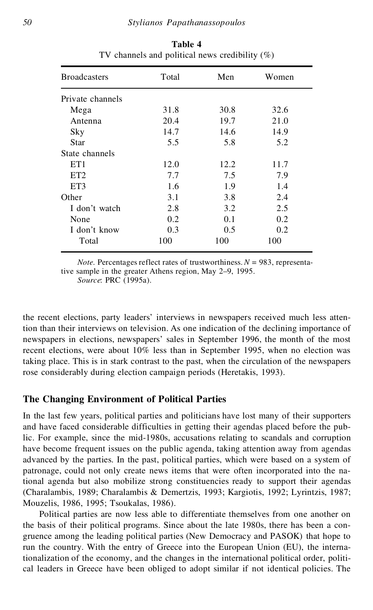| <b>Broadcasters</b> | Total | Men  | $\mathbf{r}$ channels and political news electionity ( <i>n</i> )<br>Women |
|---------------------|-------|------|----------------------------------------------------------------------------|
|                     |       |      |                                                                            |
| Private channels    |       |      |                                                                            |
| Mega                | 31.8  | 30.8 | 32.6                                                                       |
| Antenna             | 20.4  | 19.7 | 21.0                                                                       |
| Sky                 | 14.7  | 14.6 | 14.9                                                                       |
| Star                | 5.5   | 5.8  | 5.2                                                                        |
| State channels      |       |      |                                                                            |
| ET1                 | 12.0  | 12.2 | 11.7                                                                       |
| ET <sub>2</sub>     | 7.7   | 7.5  | 7.9                                                                        |
| ET3                 | 1.6   | 1.9  | 1.4                                                                        |
| Other               | 3.1   | 3.8  | 2.4                                                                        |
| I don't watch       | 2.8   | 3.2  | 2.5                                                                        |
| None                | 0.2   | 0.1  | 0.2                                                                        |
| I don't know        | 0.3   | 0.5  | 0.2                                                                        |
| Total               | 100   | 100  | 100                                                                        |

**Table 4** TV channels and political news credibility (%)

*Note*. Percentages reflect rates of trustworthiness.  $N = 983$ , representative sample in the greater Athens region, May 2–9, 1995. *Source*: PRC (1995a).

the recent elections, party leaders' interviews in newspapers received much less attention than their interviews on television. As one indication of the declining importance of newspapers in elections, newspapers' sales in September 1996, the month of the most recent elections, were about 10% less than in September 1995, when no election was taking place. This is in stark contrast to the past, when the circulation of the newspapers rose considerably during election campaign periods (Heretakis, 1993).

## **The Changing Environment of Political Parties**

In the last few years, political parties and politicians have lost many of their supporters and have faced considerable difficulties in getting their agendas placed before the public. For example, since the mid-1980s, accusations relating to scandals and corruption have become frequent issues on the public agenda, taking attention away from agendas advanced by the parties. In the past, political parties, which were based on a system of patronage, could not only create news items that were often incorporated into the national agenda but also mobilize strong constituencies ready to support their agendas (Charalambis, 1989; Charalambis & Demertzis, 1993; Kargiotis, 1992; Lyrintzis, 1987; Mouzelis, 1986, 1995; Tsoukalas, 1986).

Political parties are now less able to differentiate themselves from one another on the basis of their political programs. Since about the late 1980s, there has been a congruence among the leading political parties (New Democracy and PASOK) that hope to run the country. With the entry of Greece into the European Union (EU), the internationalization of the economy, and the changes in the international political order, political leaders in Greece have been obliged to adopt similar if not identical policies. The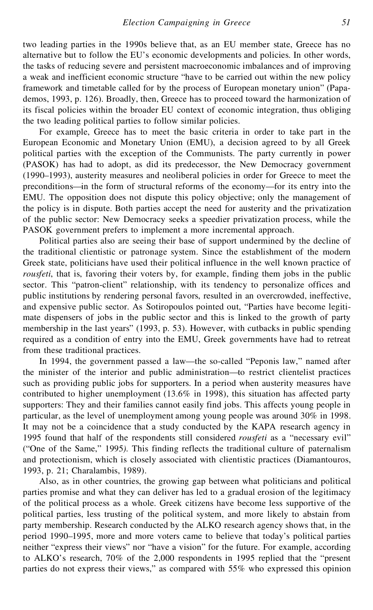two leading parties in the 1990s believe that, as an EU member state, Greece has no alternative but to follow the EU's economic developments and policies. In other words, the tasks of reducing severe and persistent macroeconomic imbalances and of improving a weak and inefficient economic structure "have to be carried out within the new policy framework and timetable called for by the process of European monetary union" (Papademos, 1993, p. 126). Broadly, then, Greece has to proceed toward the harmonization of its fiscal policies within the broader EU context of economic integration, thus obliging the two leading political parties to follow similar policies.

For example, Greece has to meet the basic criteria in order to take part in the European Economic and Monetary Union (EMU), a decision agreed to by all Greek political parties with the exception of the Communists. The party currently in power (PASOK) has had to adopt, as did its predecessor, the New Democracy government (1990–1993), austerity measures and neoliberal policies in order for Greece to meet the preconditions—in the form of structural reforms of the economy—for its entry into the EMU. The opposition does not dispute this policy objective; only the management of the policy is in dispute. Both parties accept the need for austerity and the privatization of the public sector: New Democracy seeks a speedier privatization process, while the PASOK government prefers to implement a more incremental approach.

Political parties also are seeing their base of support undermined by the decline of the traditional clientistic or patronage system. Since the establishment of the modern Greek state, politicians have used their political influence in the well known practice of *rousfeti*, that is, favoring their voters by, for example, finding them jobs in the public sector. This "patron-client" relationship, with its tendency to personalize offices and public institutions by rendering personal favors, resulted in an overcrowded, ineffective, and expensive public sector. As Sotiropoulos pointed out, "Parties have become legitimate dispensers of jobs in the public sector and this is linked to the growth of party membership in the last years" (1993, p. 53). However, with cutbacks in public spending required as a condition of entry into the EMU, Greek governments have had to retreat from these traditional practices.

In 1994, the government passed a law—the so-called "Peponis law," named after the minister of the interior and public administration—to restrict clientelist practices such as providing public jobs for supporters. In a period when austerity measures have contributed to higher unemployment (13.6% in 1998), this situation has affected party supporters: They and their families cannot easily find jobs. This affects young people in particular, as the level of unemployment among young people was around 30% in 1998. It may not be a coincidence that a study conducted by the KAPA research agency in 1995 found that half of the respondents still considered *rousfeti* as a "necessary evil" ("One of the Same," 1995*)*. This finding reflects the traditional culture of paternalism and protectionism, which is closely associated with clientistic practices (Diamantouros, 1993, p. 21; Charalambis, 1989).

Also, as in other countries, the growing gap between what politicians and political parties promise and what they can deliver has led to a gradual erosion of the legitimacy of the political process as a whole. Greek citizens have become less supportive of the political parties, less trusting of the political system, and more likely to abstain from party membership. Research conducted by the ALKO research agency shows that, in the period 1990–1995, more and more voters came to believe that today's political parties neither "express their views" nor "have a vision" for the future. For example, according to ALKO's research, 70% of the 2,000 respondents in 1995 replied that the "present parties do not express their views," as compared with 55% who expressed this opinion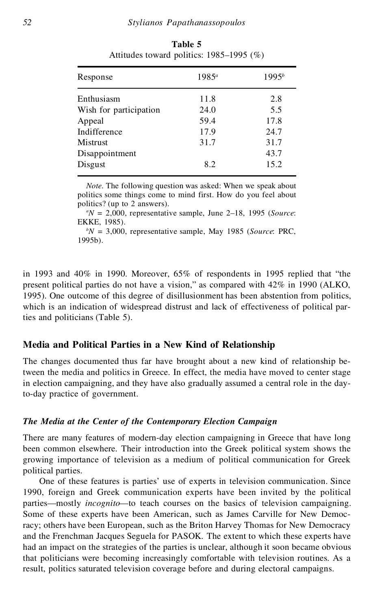| $1985^a$<br>1995b<br>11.8<br>2.8<br>5.5<br>24.0<br>59.4<br>17.8<br>17.9<br>24.7<br>31.7<br>31.7<br>43.7<br>15.2<br>8.2 |                        |  |  |
|------------------------------------------------------------------------------------------------------------------------|------------------------|--|--|
|                                                                                                                        | Response               |  |  |
|                                                                                                                        | Enthusiasm             |  |  |
|                                                                                                                        | Wish for participation |  |  |
|                                                                                                                        | Appeal                 |  |  |
|                                                                                                                        | Indifference           |  |  |
|                                                                                                                        | <b>Mistrust</b>        |  |  |
|                                                                                                                        | Disappointment         |  |  |
|                                                                                                                        | Disgust                |  |  |

**Table 5** Attitudes toward politics: 1985–1995 (%)

*Note.* The following question was asked: When we speak about politics some things come to mind first. How do you feel about politics? (up to 2 answers).

 $a^2N = 2,000$ , representative sample, June 2–18, 1995 (*Source*: EKKE, 1985).

*<sup>b</sup>N* = 3,000, representative sample, May 1985 (*Source*: PRC, 1995b).

in 1993 and 40% in 1990. Moreover, 65% of respondents in 1995 replied that "the present political parties do not have a vision," as compared with 42% in 1990 (ALKO, 1995). One outcome of this degree of disillusionment has been abstention from politics, which is an indication of widespread distrust and lack of effectiveness of political parties and politicians (Table 5).

## **Media and Political Parties in a New Kind of Relationship**

The changes documented thus far have brought about a new kind of relationship between the media and politics in Greece. In effect, the media have moved to center stage in election campaigning, and they have also gradually assumed a central role in the dayto-day practice of government.

## *The Media at the Center of the Contemporary Election Campaign*

There are many features of modern-day election campaigning in Greece that have long been common elsewhere. Their introduction into the Greek political system shows the growing importance of television as a medium of political communication for Greek political parties.

One of these features is parties' use of experts in television communication. Since 1990, foreign and Greek communication experts have been invited by the political parties—mostly *incognito*—to teach courses on the basics of television campaigning. Some of these experts have been American, such as James Carville for New Democracy; others have been European, such as the Briton Harvey Thomas for New Democracy and the Frenchman Jacques Seguela for PASOK. The extent to which these experts have had an impact on the strategies of the parties is unclear, although it soon became obvious that politicians were becoming increasingly comfortable with television routines. As a result, politics saturated television coverage before and during electoral campaigns.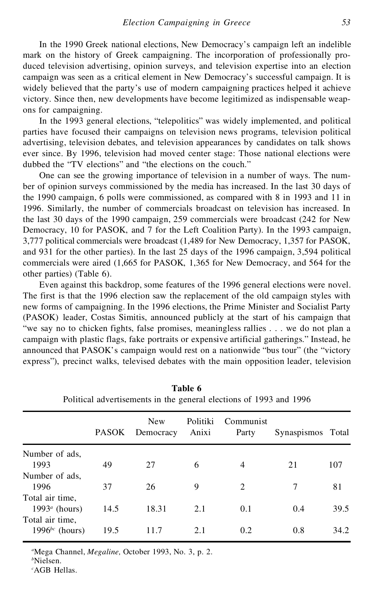In the 1990 Greek national elections, New Democracy's campaign left an indelible mark on the history of Greek campaigning. The incorporation of professionally produced television advertising, opinion surveys, and television expertise into an election campaign was seen as a critical element in New Democracy's successful campaign. It is widely believed that the party's use of modern campaigning practices helped it achieve victory. Since then, new developments have become legitimized as indispensable weapons for campaigning.

In the 1993 general elections, "telepolitics" was widely implemented, and political parties have focused their campaigns on television news programs, television political advertising, television debates, and television appearances by candidates on talk shows ever since. By 1996, television had moved center stage: Those national elections were dubbed the "TV elections" and "the elections on the couch."

One can see the growing importance of television in a number of ways. The number of opinion surveys commissioned by the media has increased. In the last 30 days of the 1990 campaign, 6 polls were commissioned, as compared with 8 in 1993 and 11 in 1996. Similarly, the number of commercials broadcast on television has increased. In the last 30 days of the 1990 campaign, 259 commercials were broadcast (242 for New Democracy, 10 for PASOK, and 7 for the Left Coalition Party). In the 1993 campaign, 3,777 political commercials were broadcast (1,489 for New Democracy, 1,357 for PASOK, and 931 for the other parties). In the last 25 days of the 1996 campaign, 3,594 political commercials were aired (1,665 for PASOK, 1,365 for New Democracy, and 564 for the other parties) (Table 6).

Even against this backdrop, some features of the 1996 general elections were novel. The first is that the 1996 election saw the replacement of the old campaign styles with new forms of campaigning. In the 1996 elections, the Prime Minister and Socialist Party (PASOK) leader, Costas Simitis, announced publicly at the start of his campaign that "we say no to chicken fights, false promises, meaningless rallies . . . we do not plan a campaign with plastic flags, fake portraits or expensive artificial gatherings." Instead, he announced that PASOK's campaign would rest on a nationwide "bus tour" (the "victory express"), precinct walks, televised debates with the main opposition leader, television

|                                      | <b>PASOK</b> | <b>New</b><br>Democracy | Politiki<br>Anixi | Communist<br>Party | Synaspismos Total |      |
|--------------------------------------|--------------|-------------------------|-------------------|--------------------|-------------------|------|
| Number of ads,                       |              |                         |                   |                    |                   |      |
| 1993                                 | 49           | 27                      | 6                 | 4                  | 21                | 107  |
| Number of ads.<br>1996               | 37           | 26                      | 9                 | $\overline{c}$     | 7                 | 81   |
| Total air time,                      |              |                         |                   |                    |                   |      |
| 1993 $\alpha$ (hours)                | 14.5         | 18.31                   | 2.1               | 0.1                | 0.4               | 39.5 |
| Total air time,<br>1996 $bc$ (hours) | 19.5         | 11.7                    | 2.1               | 0.2                | 0.8               | 34.2 |

**Table 6** Political advertisements in the general elections of 1993 and 1996

*<sup>a</sup>*Mega Channel, *Megaline,* October 1993, No. 3, p. 2.

*<sup>b</sup>*Nielsen.

*c*AGB Hellas.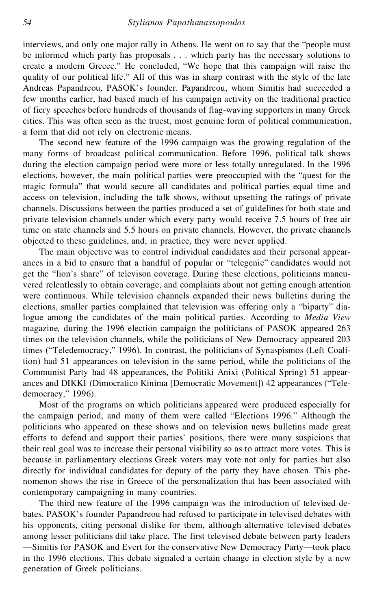interviews, and only one major rally in Athens. He went on to say that the "people must be informed which party has proposals . . . which party has the necessary solutions to create a modern Greece." He concluded, "We hope that this campaign will raise the quality of our political life." All of this was in sharp contrast with the style of the late Andreas Papandreou, PASOK's founder. Papandreou, whom Simitis had succeeded a few months earlier, had based much of his campaign activity on the traditional practice of fiery speeches before hundreds of thousands of flag-waving supporters in many Greek cities. This was often seen as the truest, most genuine form of political communication, a form that did not rely on electronic means.

The second new feature of the 1996 campaign was the growing regulation of the many forms of broadcast political communication. Before 1996, political talk shows during the election campaign period were more or less totally unregulated. In the 1996 elections, however, the main political parties were preoccupied with the "quest for the magic formula" that would secure all candidates and political parties equal time and access on television, including the talk shows, without upsetting the ratings of private channels. Discussions between the parties produced a set of guidelines for both state and private television channels under which every party would receive 7.5 hours of free air time on state channels and 5.5 hours on private channels. However, the private channels objected to these guidelines, and, in practice, they were never applied.

The main objective was to control individual candidates and their personal appearances in a bid to ensure that a handful of popular or "telegenic" candidates would not get the "lion's share" of televison coverage. During these elections, politicians maneuvered relentlessly to obtain coverage, and complaints about not getting enough attention were continuous. While television channels expanded their news bulletins during the elections, smaller parties complained that television was offering only a "biparty" dialogue among the candidates of the main political parties. According to *Media View* magazine*,* during the 1996 election campaign the politicians of PASOK appeared 263 times on the television channels, while the politicians of New Democracy appeared 203 times ("Teledemocracy," 1996). In contrast, the politicians of Synaspismos (Left Coalition) had 51 appearances on television in the same period, while the politicians of the Communist Party had 48 appearances, the Politiki Anixi (Political Spring) 51 appearances and DIKKI (Dimocratico Kinima [Democratic Movement]) 42 appearances ("Teledemocracy," 1996).

Most of the programs on which politicians appeared were produced especially for the campaign period, and many of them were called "Elections 1996." Although the politicians who appeared on these shows and on television news bulletins made great efforts to defend and support their parties' positions, there were many suspicions that their real goal was to increase their personal visibility so as to attract more votes. This is because in parliamentary elections Greek voters may vote not only for parties but also directly for individual candidates for deputy of the party they have chosen. This phenomenon shows the rise in Greece of the personalization that has been associated with contemporary campaigning in many countries.

The third new feature of the 1996 campaign was the introduction of televised debates. PASOK's founder Papandreou had refused to participate in televised debates with his opponents, citing personal dislike for them, although alternative televised debates among lesser politicians did take place. The first televised debate between party leaders —Simitis for PASOK and Evert for the conservative New Democracy Party—took place in the 1996 elections. This debate signaled a certain change in election style by a new generation of Greek politicians.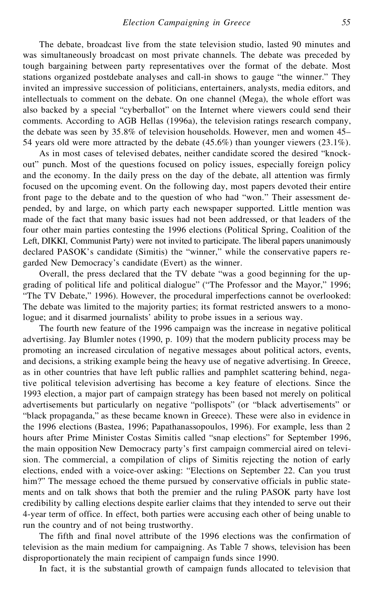The debate, broadcast live from the state television studio, lasted 90 minutes and was simultaneously broadcast on most private channels. The debate was preceded by tough bargaining between party representatives over the format of the debate. Most stations organized postdebate analyses and call-in shows to gauge "the winner." They invited an impressive succession of politicians, entertainers, analysts, media editors, and intellectuals to comment on the debate. On one channel (Mega), the whole effort was also backed by a special "cyberballot" on the Internet where viewers could send their comments. According to AGB Hellas (1996a), the television ratings research company, the debate was seen by 35.8% of television households. However, men and women 45– 54 years old were more attracted by the debate  $(45.6\%)$  than younger viewers  $(23.1\%)$ .

As in most cases of televised debates, neither candidate scored the desired "knockout" punch. Most of the questions focused on policy issues, especially foreign policy and the economy. In the daily press on the day of the debate, all attention was firmly focused on the upcoming event. On the following day, most papers devoted their entire front page to the debate and to the question of who had "won." Their assessment depended, by and large, on which party each newspaper supported. Little mention was made of the fact that many basic issues had not been addressed, or that leaders of the four other main parties contesting the 1996 elections (Political Spring, Coalition of the Left, DIKKI, Communist Party) were not invited to participate. The liberal papers unanimously declared PASOK's candidate (Simitis) the "winner," while the conservative papers regarded New Democracy's candidate (Evert) as the winner.

Overall, the press declared that the TV debate "was a good beginning for the upgrading of political life and political dialogue" ("The Professor and the Mayor," 1996; "The TV Debate," 1996). However, the procedural imperfections cannot be overlooked: The debate was limited to the majority parties; its format restricted answers to a monologue; and it disarmed journalists' ability to probe issues in a serious way.

The fourth new feature of the 1996 campaign was the increase in negative political advertising. Jay Blumler notes (1990, p. 109) that the modern publicity process may be promoting an increased circulation of negative messages about political actors, events, and decisions, a striking example being the heavy use of negative advertising. In Greece, as in other countries that have left public rallies and pamphlet scattering behind, negative political television advertising has become a key feature of elections. Since the 1993 election, a major part of campaign strategy has been based not merely on political advertisements but particularly on negative "pollispots" (or "black advertisements" or "black propaganda," as these became known in Greece). These were also in evidence in the 1996 elections (Bastea, 1996; Papathanassopoulos, 1996). For example, less than 2 hours after Prime Minister Costas Simitis called "snap elections" for September 1996, the main opposition New Democracy party's first campaign commercial aired on television. The commercial, a compilation of clips of Simitis rejecting the notion of early elections, ended with a voice-over asking: "Elections on September 22. Can you trust him?" The message echoed the theme pursued by conservative officials in public statements and on talk shows that both the premier and the ruling PASOK party have lost credibility by calling elections despite earlier claims that they intended to serve out their 4-year term of office. In effect, both parties were accusing each other of being unable to run the country and of not being trustworthy.

The fifth and final novel attribute of the 1996 elections was the confirmation of television as the main medium for campaigning. As Table 7 shows, television has been disproportionately the main recipient of campaign funds since 1990.

In fact, it is the substantial growth of campaign funds allocated to television that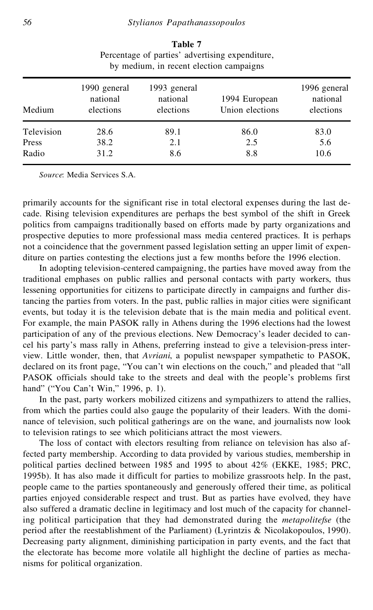| by medium, in recent election campaigns |                                       |                                       |                                  |                                       |
|-----------------------------------------|---------------------------------------|---------------------------------------|----------------------------------|---------------------------------------|
| Medium                                  | 1990 general<br>national<br>elections | 1993 general<br>national<br>elections | 1994 European<br>Union elections | 1996 general<br>national<br>elections |
| Television                              | 28.6                                  | 89.1                                  | 86.0                             | 83.0                                  |
| Press                                   | 38.2                                  | 2.1                                   | 2.5                              | 5.6                                   |
| Radio                                   | 31.2                                  | 8.6                                   | 8.8                              | 10.6                                  |

| Table 7                                         |
|-------------------------------------------------|
| Percentage of parties' advertising expenditure, |
| by medium, in recent election campaigns         |

*Source*: Media Services S.A.

primarily accounts for the significant rise in total electoral expenses during the last decade. Rising television expenditures are perhaps the best symbol of the shift in Greek politics from campaigns traditionally based on efforts made by party organizations and prospective deputies to more professional mass media centered practices. It is perhaps not a coincidence that the government passed legislation setting an upper limit of expenditure on parties contesting the elections just a few months before the 1996 election.

In adopting television-centered campaigning, the parties have moved away from the traditional emphases on public rallies and personal contacts with party workers, thus lessening opportunities for citizens to participate directly in campaigns and further distancing the parties from voters. In the past, public rallies in major cities were significant events, but today it is the television debate that is the main media and political event. For example, the main PASOK rally in Athens during the 1996 elections had the lowest participation of any of the previous elections. New Democracy's leader decided to cancel his party's mass rally in Athens, preferring instead to give a television-press interview. Little wonder, then, that *Avriani*, a populist newspaper sympathetic to PASOK, declared on its front page, "You can't win elections on the couch," and pleaded that "all PASOK officials should take to the streets and deal with the people's problems first hand" ("You Can't Win," 1996, p. 1).

In the past, party workers mobilized citizens and sympathizers to attend the rallies, from which the parties could also gauge the popularity of their leaders. With the dominance of television, such political gatherings are on the wane, and journalists now look to television ratings to see which politicians attract the most viewers.

The loss of contact with electors resulting from reliance on television has also affected party membership. According to data provided by various studies, membership in political parties declined between 1985 and 1995 to about 42% (EKKE, 1985; PRC, 1995b). It has also made it difficult for parties to mobilize grassroots help. In the past, people came to the parties spontaneously and generously offered their time, as political parties enjoyed considerable respect and trust. But as parties have evolved, they have also suffered a dramatic decline in legitimacy and lost much of the capacity for channeling political participation that they had demonstrated during the *metapolitefse* (the period after the reestablishment of the Parliament) (Lyrintzis & Nicolakopoulos, 1990). Decreasing party alignment, diminishing participation in party events, and the fact that the electorate has become more volatile all highlight the decline of parties as mechanisms for political organization.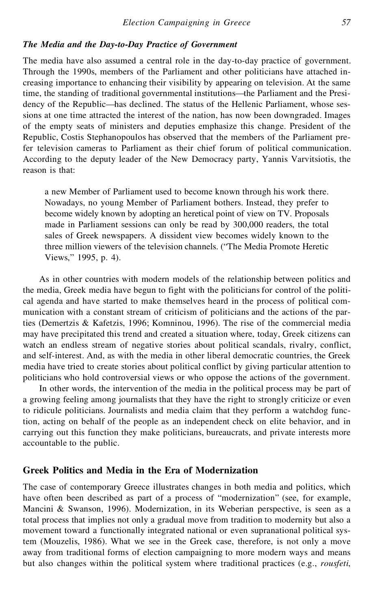### *The Media and the Day-to-Day Practice of Government*

The media have also assumed a central role in the day-to-day practice of government. Through the 1990s, members of the Parliament and other politicians have attached increasing importance to enhancing their visibility by appearing on television. At the same time, the standing of traditional governmental institutions—the Parliament and the Presidency of the Republic—has declined. The status of the Hellenic Parliament, whose sessions at one time attracted the interest of the nation, has now been downgraded. Images of the empty seats of ministers and deputies emphasize this change. President of the Republic, Costis Stephanopoulos has observed that the members of the Parliament prefer television cameras to Parliament as their chief forum of political communication. According to the deputy leader of the New Democracy party, Yannis Varvitsiotis, the reason is that:

a new Member of Parliament used to become known through his work there. Nowadays, no young Member of Parliament bothers. Instead, they prefer to become widely known by adopting an heretical point of view on TV. Proposals made in Parliament sessions can only be read by 300,000 readers, the total sales of Greek newspapers. A dissident view becomes widely known to the three million viewers of the television channels. ("The Media Promote Heretic Views," 1995, p. 4).

As in other countries with modern models of the relationship between politics and the media, Greek media have begun to fight with the politicians for control of the political agenda and have started to make themselves heard in the process of political communication with a constant stream of criticism of politicians and the actions of the parties (Demertzis & Kafetzis, 1996; Komninou, 1996). The rise of the commercial media may have precipitated this trend and created a situation where, today, Greek citizens can watch an endless stream of negative stories about political scandals, rivalry, conflict, and self-interest. And, as with the media in other liberal democratic countries, the Greek media have tried to create stories about political conflict by giving particular attention to politicians who hold controversial views or who oppose the actions of the government.

In other words, the intervention of the media in the political process may be part of a growing feeling among journalists that they have the right to strongly criticize or even to ridicule politicians. Journalists and media claim that they perform a watchdog function, acting on behalf of the people as an independent check on elite behavior, and in carrying out this function they make politicians, bureaucrats, and private interests more accountable to the public.

## **Greek Politics and Media in the Era of Modernization**

The case of contemporary Greece illustrates changes in both media and politics, which have often been described as part of a process of "modernization" (see, for example, Mancini & Swanson, 1996). Modernization, in its Weberian perspective, is seen as a total process that implies not only a gradual move from tradition to modernity but also a movement toward a functionally integrated national or even supranational political system (Mouzelis, 1986). What we see in the Greek case, therefore, is not only a move away from traditional forms of election campaigning to more modern ways and means but also changes within the political system where traditional practices (e.g., *rousfeti*,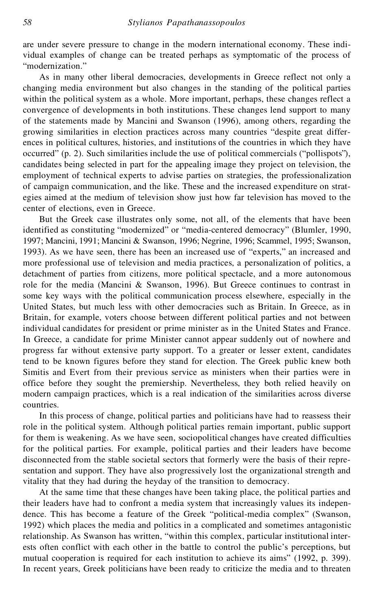are under severe pressure to change in the modern international economy. These individual examples of change can be treated perhaps as symptomatic of the process of "modernization."

As in many other liberal democracies, developments in Greece reflect not only a changing media environment but also changes in the standing of the political parties within the political system as a whole. More important, perhaps, these changes reflect a convergence of developments in both institutions. These changes lend support to many of the statements made by Mancini and Swanson (1996), among others, regarding the growing similarities in election practices across many countries "despite great differences in political cultures, histories, and institutions of the countries in which they have occurred" (p. 2). Such similarities include the use of political commercials ("pollispots"), candidates being selected in part for the appealing image they project on television, the employment of technical experts to advise parties on strategies, the professionalization of campaign communication, and the like. These and the increased expenditure on strategies aimed at the medium of television show just how far television has moved to the center of elections, even in Greece.

But the Greek case illustrates only some, not all, of the elements that have been identified as constituting "modernized" or "media-centered democracy" (Blumler, 1990, 1997; Mancini, 1991; Mancini & Swanson, 1996; Negrine, 1996; Scammel, 1995; Swanson, 1993). As we have seen, there has been an increased use of "experts," an increased and more professional use of television and media practices, a personalization of politics, a detachment of parties from citizens, more political spectacle, and a more autonomous role for the media (Mancini & Swanson, 1996). But Greece continues to contrast in some key ways with the political communication process elsewhere, especially in the United States, but much less with other democracies such as Britain. In Greece, as in Britain, for example, voters choose between different political parties and not between individual candidates for president or prime minister as in the United States and France. In Greece, a candidate for prime Minister cannot appear suddenly out of nowhere and progress far without extensive party support. To a greater or lesser extent, candidates tend to be known figures before they stand for election. The Greek public knew both Simitis and Evert from their previous service as ministers when their parties were in office before they sought the premiership. Nevertheless, they both relied heavily on modern campaign practices, which is a real indication of the similarities across diverse countries.

In this process of change, political parties and politicians have had to reassess their role in the political system. Although political parties remain important, public support for them is weakening. As we have seen, sociopolitical changes have created difficulties for the political parties. For example, political parties and their leaders have become disconnected from the stable societal sectors that formerly were the basis of their representation and support. They have also progressively lost the organizational strength and vitality that they had during the heyday of the transition to democracy.

At the same time that these changes have been taking place, the political parties and their leaders have had to confront a media system that increasingly values its independence. This has become a feature of the Greek "political-media complex" (Swanson, 1992) which places the media and politics in a complicated and sometimes antagonistic relationship. As Swanson has written, "within this complex, particular institutional interests often conflict with each other in the battle to control the public's perceptions, but mutual cooperation is required for each institution to achieve its aims" (1992, p. 399). In recent years, Greek politicians have been ready to criticize the media and to threaten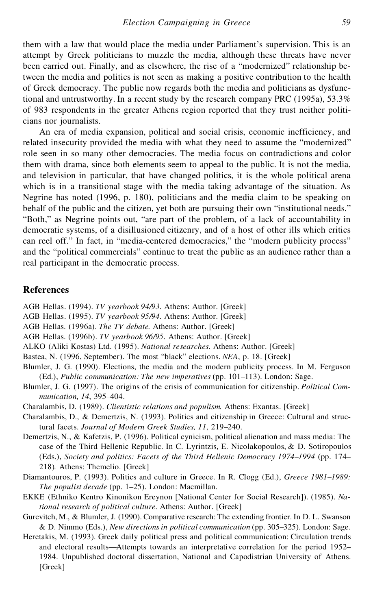them with a law that would place the media under Parliament's supervision. This is an attempt by Greek politicians to muzzle the media, although these threats have never been carried out. Finally, and as elsewhere, the rise of a "modernized" relationship between the media and politics is not seen as making a positive contribution to the health of Greek democracy. The public now regards both the media and politicians as dysfunctional and untrustworthy. In a recent study by the research company PRC (1995a), 53.3% of 983 respondents in the greater Athens region reported that they trust neither politicians nor journalists.

An era of media expansion, political and social crisis, economic inefficiency, and related insecurity provided the media with what they need to assume the "modernized" role seen in so many other democracies. The media focus on contradictions and color them with drama, since both elements seem to appeal to the public. It is not the media, and television in particular, that have changed politics, it is the whole political arena which is in a transitional stage with the media taking advantage of the situation. As Negrine has noted (1996, p. 180), politicians and the media claim to be speaking on behalf of the public and the citizen, yet both are pursuing their own "institutional needs." "Both," as Negrine points out, "are part of the problem, of a lack of accountability in democratic systems, of a disillusioned citizenry, and of a host of other ills which critics can reel off." In fact, in "media-centered democracies," the "modern publicity process" and the "political commercials" continue to treat the public as an audience rather than a real participant in the democratic process.

## **References**

- AGB Hellas. (1994). *TV yearbook 94/93*. Athens: Author. [Greek]
- AGB Hellas. (1995). *TV yearbook 95/94*. Athens: Author. [Greek]
- AGB Hellas. (1996a). *The TV debate*. Athens: Author. [Greek]
- AGB Hellas. (1996b). *TV yearbook 96/95*. Athens: Author. [Greek]
- ALKO (Aliki Kostas) Ltd. (1995). *National researches.* Athens: Author. [Greek]
- Bastea, N. (1996, September). The most "black" elections. *NEA*, p. 18. [Greek]
- Blumler, J. G. (1990). Elections, the media and the modern publicity process. In M. Ferguson (Ed.), *Public communication: The new imperatives* (pp. 101–113). London: Sage.
- Blumler, J. G. (1997). The origins of the crisis of communication for citizenship. *Political Communication, 14*, 395–404.
- Charalambis, D. (1989). *Clientistic relations and populism*. Athens: Exantas. [Greek]
- Charalambis, D., & Demertzis, N. (1993). Politics and citizenship in Greece: Cultural and structural facets. *Journal of Modern Greek Studies, 11*, 219–240.
- Demertzis, N., & Kafetzis, P. (1996). Political cynicism, political alienation and mass media: The case of the Third Hellenic Republic. In C. Lyrintzis, E. Nicolakopoulos, & D. Sotiropoulos (Eds.), *Society and politics: Facets of the Third Hellenic Democracy 1974–1994* (pp. 174– 218)*.* Athens: Themelio. [Greek]
- Diamantouros, P. (1993). Politics and culture in Greece. In R. Clogg (Ed.), *Greece 1981–1989: The populist decade* (pp. 1–25). London: Macmillan.
- EKKE (Ethniko Kentro Kinonikon Ereynon [National Center for Social Research]). (1985). *National research of political culture.* Athens: Author. [Greek]
- Gurevitch, M., & Blumler, J. (1990). Comparative research: The extending frontier. In D. L. Swanson & D. Nimmo (Eds.), *New directions in political communication* (pp. 305–325). London: Sage.
- Heretakis, M. (1993). Greek daily political press and political communication: Circulation trends and electoral results—Attempts towards an interpretative correlation for the period 1952– 1984. Unpublished doctoral dissertation, National and Capodistrian University of Athens. [Greek]